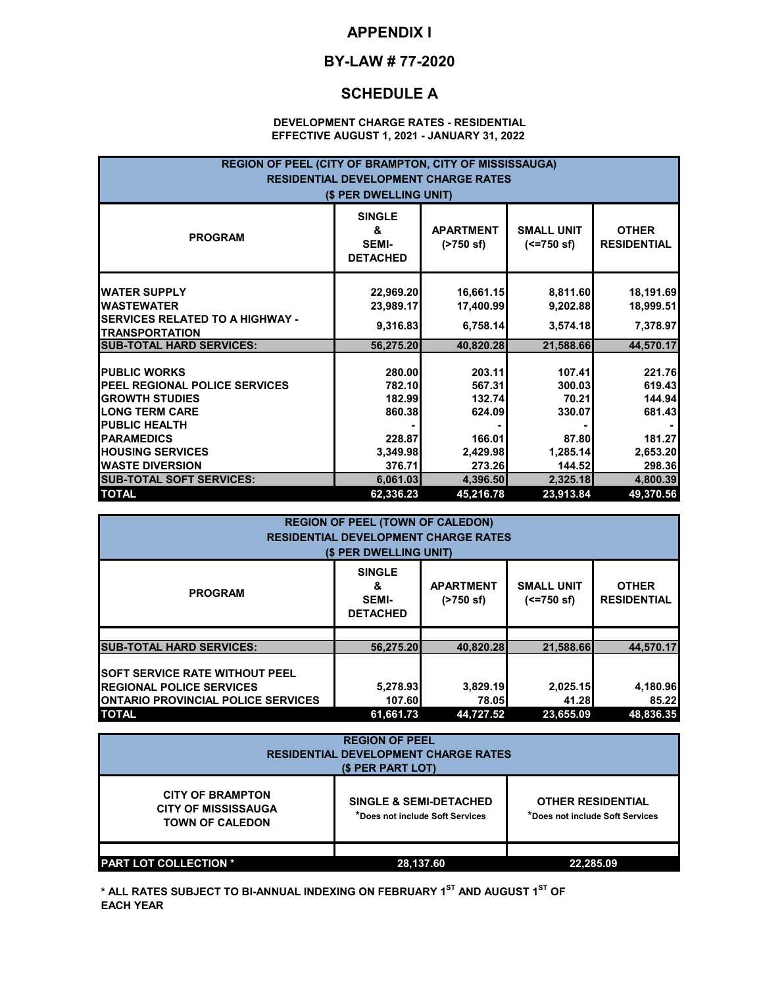## **APPENDIX I**

#### **BY-LAW # 77-2020**

### **SCHEDULE A**

#### **DEVELOPMENT CHARGE RATES - RESIDENTIAL EFFECTIVE AUGUST 1, 2021 - JANUARY 31, 2022**

| REGION OF PEEL (CITY OF BRAMPTON, CITY OF MISSISSAUGA)<br><b>RESIDENTIAL DEVELOPMENT CHARGE RATES</b><br>(\$ PER DWELLING UNIT)                                                                                  |                                                                      |                                                                      |                                                                    |                                                                      |
|------------------------------------------------------------------------------------------------------------------------------------------------------------------------------------------------------------------|----------------------------------------------------------------------|----------------------------------------------------------------------|--------------------------------------------------------------------|----------------------------------------------------------------------|
| <b>PROGRAM</b>                                                                                                                                                                                                   | <b>SINGLE</b><br>&<br><b>SEMI-</b><br><b>DETACHED</b>                | <b>APARTMENT</b><br>(2750 s f)                                       | <b>SMALL UNIT</b><br>$(<=750$ sf)                                  | <b>OTHER</b><br><b>RESIDENTIAL</b>                                   |
| <b>WATER SUPPLY</b><br><b>IWASTEWATER</b><br><b>SERVICES RELATED TO A HIGHWAY -</b><br><b>TRANSPORTATION</b>                                                                                                     | 22,969.20<br>23,989.17<br>9,316.83                                   | 16,661.15<br>17,400.99<br>6,758.14                                   | 8,811.60<br>9,202.88<br>3,574.18                                   | 18,191.69<br>18,999.51<br>7,378.97                                   |
| <b>SUB-TOTAL HARD SERVICES:</b>                                                                                                                                                                                  | 56,275.20                                                            | 40,820.28                                                            | 21,588.66                                                          | 44,570.17                                                            |
| <b>PUBLIC WORKS</b><br><b>IPEEL REGIONAL POLICE SERVICES</b><br><b>GROWTH STUDIES</b><br><b>LONG TERM CARE</b><br><b>PUBLIC HEALTH</b><br><b>PARAMEDICS</b><br><b>HOUSING SERVICES</b><br><b>WASTE DIVERSION</b> | 280.00<br>782.10<br>182.99<br>860.38<br>228.87<br>3,349.98<br>376.71 | 203.11<br>567.31<br>132.74<br>624.09<br>166.01<br>2,429.98<br>273.26 | 107.41<br>300.03<br>70.21<br>330.07<br>87.80<br>1,285.14<br>144.52 | 221.76<br>619.43<br>144.94<br>681.43<br>181.27<br>2,653.20<br>298.36 |
| <b>SUB-TOTAL SOFT SERVICES:</b><br><b>TOTAL</b>                                                                                                                                                                  | 6,061.03<br>62,336.23                                                | 4,396.50<br>45,216.78                                                | 2,325.18<br>23,913.84                                              | 4,800.39<br>49,370.56                                                |

| <b>REGION OF PEEL (TOWN OF CALEDON)</b><br><b>RESIDENTIAL DEVELOPMENT CHARGE RATES</b>                                 |                                                                                       |                          |                                   |                                    |  |
|------------------------------------------------------------------------------------------------------------------------|---------------------------------------------------------------------------------------|--------------------------|-----------------------------------|------------------------------------|--|
| (\$ PER DWELLING UNIT)                                                                                                 |                                                                                       |                          |                                   |                                    |  |
| <b>PROGRAM</b>                                                                                                         | <b>SINGLE</b><br><b>APARTMENT</b><br>&<br><b>SEMI-</b><br>(2750 s)<br><b>DETACHED</b> |                          | <b>SMALL UNIT</b><br>$(<=750$ sf) | <b>OTHER</b><br><b>RESIDENTIAL</b> |  |
|                                                                                                                        |                                                                                       |                          |                                   |                                    |  |
| <b>SUB-TOTAL HARD SERVICES:</b>                                                                                        | 56.275.20                                                                             | 40.820.28                | 21.588.66                         | 44.570.17                          |  |
| <b>SOFT SERVICE RATE WITHOUT PEEL</b><br><b>REGIONAL POLICE SERVICES</b><br><b>IONTARIO PROVINCIAL POLICE SERVICES</b> | 5,278.93<br>107.60                                                                    | 3,829.19<br><b>78.05</b> | 2,025.15<br>41.28                 | 4,180.96<br>85.22                  |  |
| <b>TOTAL</b><br>48.836.35<br>61.661.73<br>44.727.52<br>23.655.09                                                       |                                                                                       |                          |                                   |                                    |  |

| <b>REGION OF PEEL</b><br><b>RESIDENTIAL DEVELOPMENT CHARGE RATES</b><br>(\$ PER PART LOT) |                                                                      |                                                             |  |
|-------------------------------------------------------------------------------------------|----------------------------------------------------------------------|-------------------------------------------------------------|--|
| <b>CITY OF BRAMPTON</b><br><b>CITY OF MISSISSAUGA</b><br><b>TOWN OF CALEDON</b>           | <b>SINGLE &amp; SEMI-DETACHED</b><br>*Does not include Soft Services | <b>OTHER RESIDENTIAL</b><br>*Does not include Soft Services |  |
| <b>PART LOT COLLECTION *</b>                                                              | 28,137.60                                                            | 22,285.09                                                   |  |

**\* ALL RATES SUBJECT TO BI-ANNUAL INDEXING ON FEBRUARY 1ST AND AUGUST 1ST OF EACH YEAR**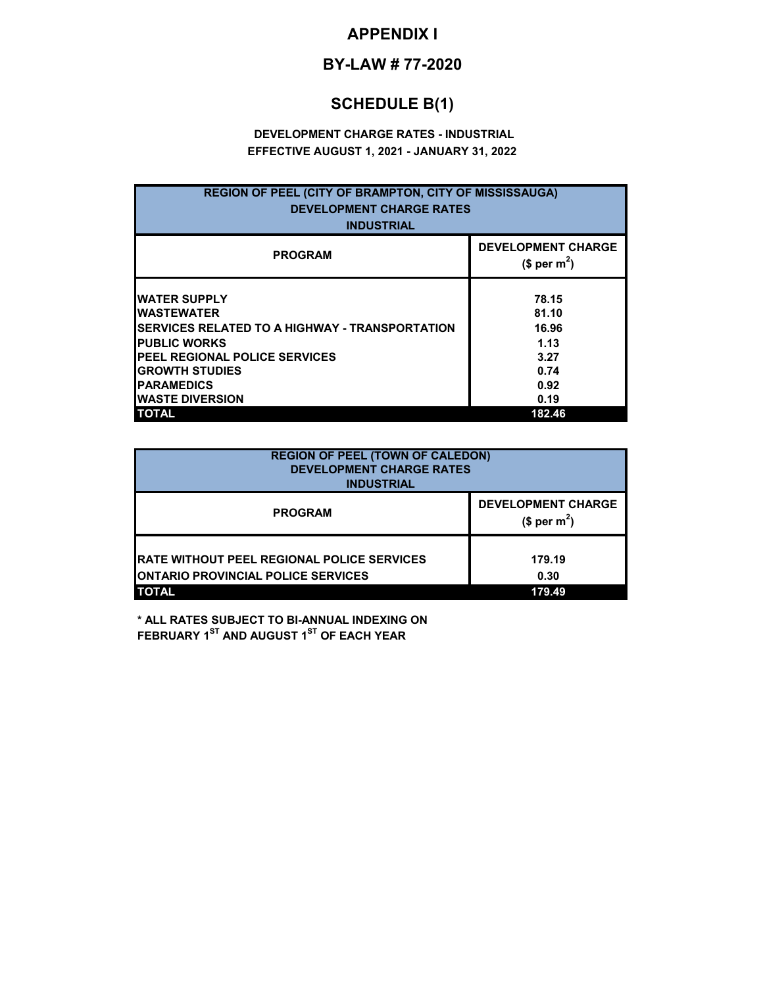# **APPENDIX I**

### **BY-LAW # 77-2020**

# **SCHEDULE B(1)**

### **DEVELOPMENT CHARGE RATES - INDUSTRIAL EFFECTIVE AUGUST 1, 2021 - JANUARY 31, 2022**

| <b>REGION OF PEEL (CITY OF BRAMPTON, CITY OF MISSISSAUGA)</b><br><b>DEVELOPMENT CHARGE RATES</b><br><b>INDUSTRIAL</b>                                                                                                                                      |                                                                           |  |  |
|------------------------------------------------------------------------------------------------------------------------------------------------------------------------------------------------------------------------------------------------------------|---------------------------------------------------------------------------|--|--|
| <b>PROGRAM</b>                                                                                                                                                                                                                                             | <b>DEVELOPMENT CHARGE</b><br>$$per~m^2$$                                  |  |  |
| <b>WATER SUPPLY</b><br><b>IWASTEWATER</b><br><b>ISERVICES RELATED TO A HIGHWAY - TRANSPORTATION</b><br><b>PUBLIC WORKS</b><br><b>PEEL REGIONAL POLICE SERVICES</b><br><b>GROWTH STUDIES</b><br><b>PARAMEDICS</b><br><b>WASTE DIVERSION</b><br><b>TOTAL</b> | 78.15<br>81.10<br>16.96<br>1.13<br>3.27<br>0.74<br>0.92<br>0.19<br>182.46 |  |  |

| <b>REGION OF PEEL (TOWN OF CALEDON)</b><br><b>DEVELOPMENT CHARGE RATES</b><br><b>INDUSTRIAL</b>                 |                                          |  |
|-----------------------------------------------------------------------------------------------------------------|------------------------------------------|--|
| <b>PROGRAM</b>                                                                                                  | <b>DEVELOPMENT CHARGE</b><br>$$per m2$ ) |  |
| <b>RATE WITHOUT PEEL REGIONAL POLICE SERVICES</b><br><b>IONTARIO PROVINCIAL POLICE SERVICES</b><br><b>TOTAL</b> | 179.19<br>0.30<br>179.49                 |  |

**\* ALL RATES SUBJECT TO BI-ANNUAL INDEXING ON FEBRUARY 1ST AND AUGUST 1ST OF EACH YEAR**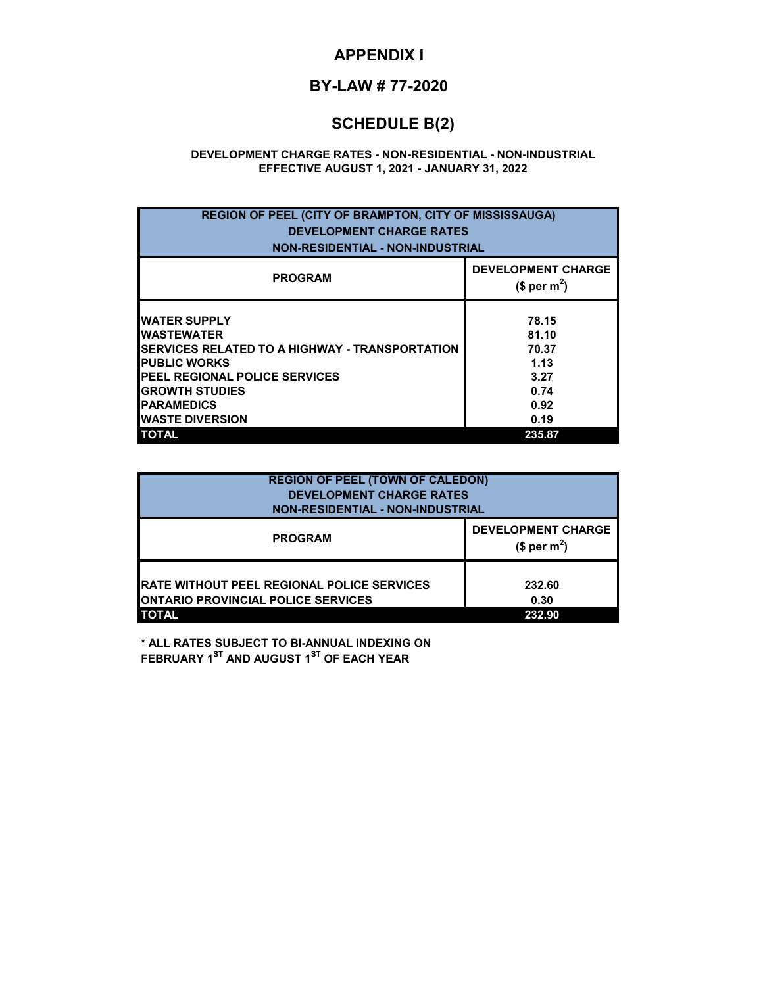## **APPENDIX I**

# **BY-LAW # 77-2020**

# **SCHEDULE B(2)**

#### **DEVELOPMENT CHARGE RATES - NON-RESIDENTIAL - NON-INDUSTRIAL EFFECTIVE AUGUST 1, 2021 - JANUARY 31, 2022**

| <b>REGION OF PEEL (CITY OF BRAMPTON, CITY OF MISSISSAUGA)</b><br><b>DEVELOPMENT CHARGE RATES</b><br><b>NON-RESIDENTIAL - NON-INDUSTRIAL</b>                                                                                                       |                                                                           |  |
|---------------------------------------------------------------------------------------------------------------------------------------------------------------------------------------------------------------------------------------------------|---------------------------------------------------------------------------|--|
| <b>PROGRAM</b>                                                                                                                                                                                                                                    | <b>DEVELOPMENT CHARGE</b><br>$$$ per m <sup>2</sup> )                     |  |
| <b>WATER SUPPLY</b><br><b>WASTEWATER</b><br><b>SERVICES RELATED TO A HIGHWAY - TRANSPORTATION</b><br><b>PUBLIC WORKS</b><br>PEEL REGIONAL POLICE SERVICES<br><b>GROWTH STUDIES</b><br><b>PARAMEDICS</b><br><b>WASTE DIVERSION</b><br><b>TOTAL</b> | 78.15<br>81.10<br>70.37<br>1.13<br>3.27<br>0.74<br>0.92<br>0.19<br>235.87 |  |

| <b>REGION OF PEEL (TOWN OF CALEDON)</b><br><b>DEVELOPMENT CHARGE RATES</b><br><b>NON-RESIDENTIAL - NON-INDUSTRIAL</b> |                                                       |  |
|-----------------------------------------------------------------------------------------------------------------------|-------------------------------------------------------|--|
| <b>PROGRAM</b>                                                                                                        | <b>DEVELOPMENT CHARGE</b><br>$$$ per m <sup>2</sup> ) |  |
| <b>IRATE WITHOUT PEEL REGIONAL POLICE SERVICES</b><br><b>ONTARIO PROVINCIAL POLICE SERVICES</b><br><b>TOTAL</b>       | 232.60<br>0.30<br>232.90                              |  |

**\* ALL RATES SUBJECT TO BI-ANNUAL INDEXING ON FEBRUARY 1ST AND AUGUST 1ST OF EACH YEAR**